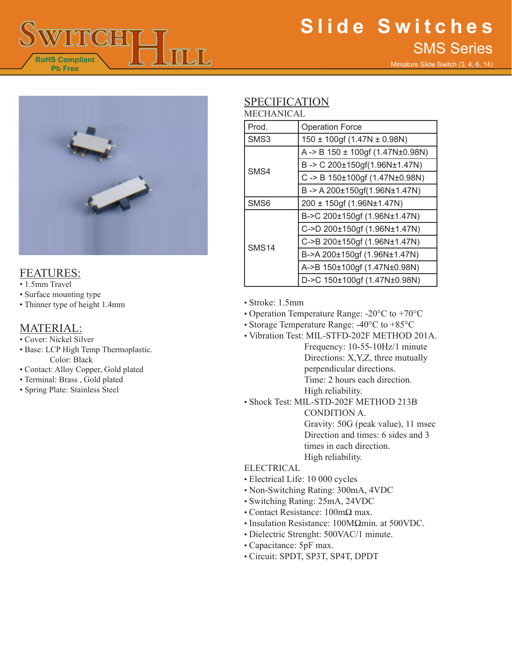

# **Slide Switches** SMS Series

Miniature Slide Switch (3, 4, 6, 14)



## FEATURES:

- 1.5mm Travel
- Surface mounting type
- Thinner type of height 1.4mm

### MATERIAL:

- Cover: Nickel Silver
- Base: LCP High Temp Thermoplastic. Color: Black
- Contact: Alloy Copper, Gold plated
- Terminal: Brass , Gold plated
- Spring Plate: Stainless Steel

# SPECIFICATION

| MECHANICAL |  |
|------------|--|
|------------|--|

| Prod.            | <b>Operation Force</b>                      |
|------------------|---------------------------------------------|
| SMS3             | $150 \pm 100$ gf (1.47N $\pm$ 0.98N)        |
| SM <sub>S4</sub> | A -> B $150 \pm 100$ gf (1.47N $\pm$ 0.98N) |
|                  | B-> C 200±150gf(1.96N±1.47N)                |
|                  | C-> B 150±100gf (1.47N±0.98N)               |
|                  | B-> A 200±150gf(1.96N±1.47N)                |
| SMS <sub>6</sub> | 200 ± 150gf (1.96N±1.47N)                   |
| <b>SMS14</b>     | B->C 200±150gf (1.96N±1.47N)                |
|                  | C->D 200±150gf (1.96N±1.47N)                |
|                  | C->B 200±150gf (1.96N±1.47N)                |
|                  | B->A 200±150gf (1.96N±1.47N)                |
|                  | A->B 150±100gf (1.47N±0.98N)                |
|                  | D->C 150±100gf (1.47N±0.98N)                |

• Stroke: 1.5mm

- Operation Temperature Range: -20°C to +70°C
- Storage Temperature Range: -40°C to +85°C
- Vibration Test: MIL-STFD-202F METHOD 201A. Frequency: 10-55-10Hz/1 minute Directions: X,Y,Z, three mutually perpendicular directions. Time: 2 hours each direction. High reliability.
- Shock Test: MIL-STD-202F METHOD 213B CONDITION A. Gravity: 50G (peak value), 11 msec Direction and times: 6 sides and 3 times in each direction.
	- High reliability.

#### **ELECTRICAL**

- Electrical Life: 10 000 cycles
- Non-Switching Rating: 300mA, 4VDC
- Switching Rating: 25mA, 24VDC
- Contact Resistance: 100mΩ max.
- Insulation Resistance: 100MΩmin. at 500VDC.
- Dielectric Strenght: 500VAC/1 minute.
- Capacitance: 5pF max.
- Circuit: SPDT, SP3T, SP4T, DPDT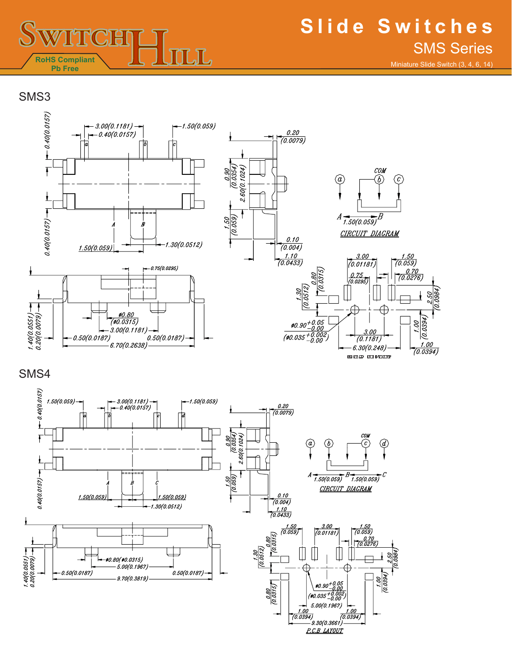

Miniature Slide Switch (3, 4, 6, 14)

SMS3



SMS4

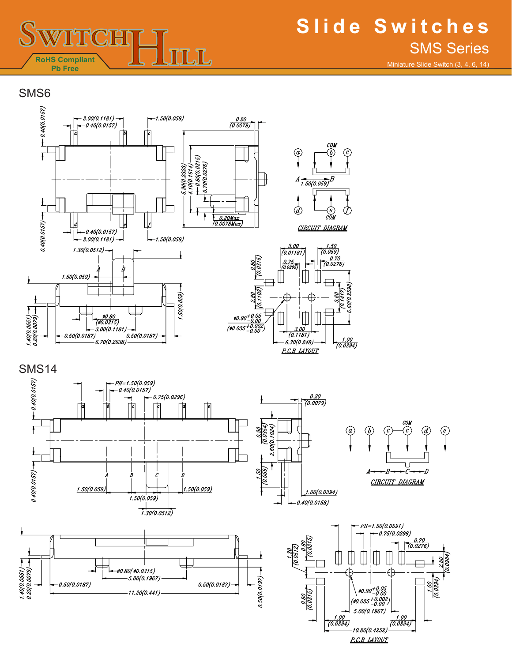

Miniature Slide Switch (3, 4, 6, 14)

SMS6











 $\frac{1}{\sqrt{2}}$